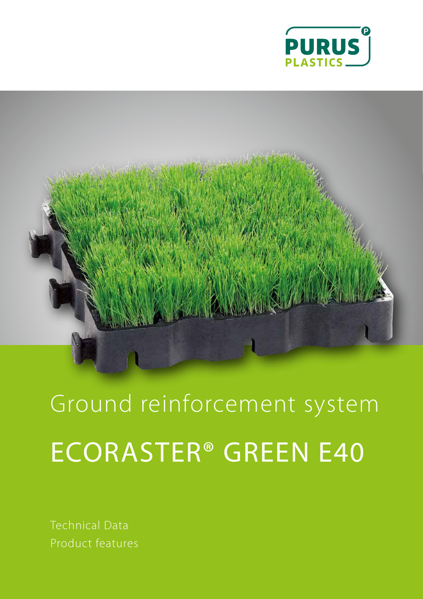



Ground reinforcement system ECORASTER® GREEN E40

Technical Data Product features